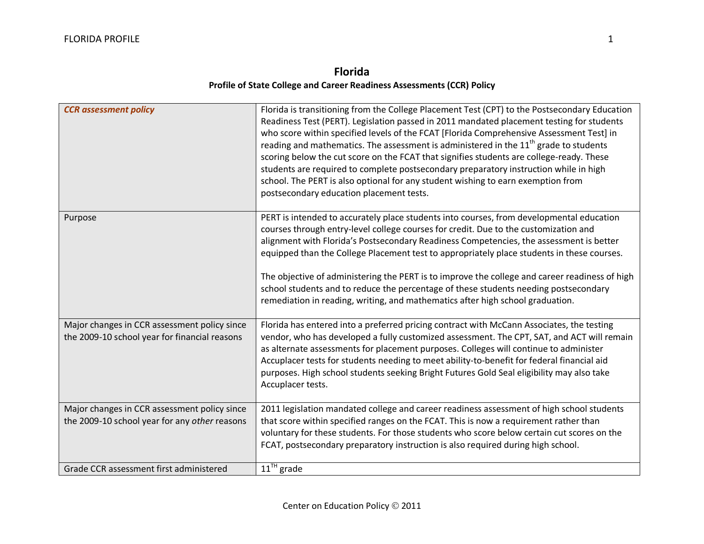## **Florida Profile of State College and Career Readiness Assessments (CCR) Policy**

| <b>CCR</b> assessment policy                                                                  | Florida is transitioning from the College Placement Test (CPT) to the Postsecondary Education<br>Readiness Test (PERT). Legislation passed in 2011 mandated placement testing for students<br>who score within specified levels of the FCAT [Florida Comprehensive Assessment Test] in<br>reading and mathematics. The assessment is administered in the $11th$ grade to students<br>scoring below the cut score on the FCAT that signifies students are college-ready. These<br>students are required to complete postsecondary preparatory instruction while in high<br>school. The PERT is also optional for any student wishing to earn exemption from<br>postsecondary education placement tests. |
|-----------------------------------------------------------------------------------------------|--------------------------------------------------------------------------------------------------------------------------------------------------------------------------------------------------------------------------------------------------------------------------------------------------------------------------------------------------------------------------------------------------------------------------------------------------------------------------------------------------------------------------------------------------------------------------------------------------------------------------------------------------------------------------------------------------------|
| Purpose                                                                                       | PERT is intended to accurately place students into courses, from developmental education<br>courses through entry-level college courses for credit. Due to the customization and<br>alignment with Florida's Postsecondary Readiness Competencies, the assessment is better<br>equipped than the College Placement test to appropriately place students in these courses.<br>The objective of administering the PERT is to improve the college and career readiness of high<br>school students and to reduce the percentage of these students needing postsecondary<br>remediation in reading, writing, and mathematics after high school graduation.                                                  |
| Major changes in CCR assessment policy since<br>the 2009-10 school year for financial reasons | Florida has entered into a preferred pricing contract with McCann Associates, the testing<br>vendor, who has developed a fully customized assessment. The CPT, SAT, and ACT will remain<br>as alternate assessments for placement purposes. Colleges will continue to administer<br>Accuplacer tests for students needing to meet ability-to-benefit for federal financial aid<br>purposes. High school students seeking Bright Futures Gold Seal eligibility may also take<br>Accuplacer tests.                                                                                                                                                                                                       |
| Major changes in CCR assessment policy since<br>the 2009-10 school year for any other reasons | 2011 legislation mandated college and career readiness assessment of high school students<br>that score within specified ranges on the FCAT. This is now a requirement rather than<br>voluntary for these students. For those students who score below certain cut scores on the<br>FCAT, postsecondary preparatory instruction is also required during high school.                                                                                                                                                                                                                                                                                                                                   |
| Grade CCR assessment first administered                                                       | $11^{\text{TH}}$ grade                                                                                                                                                                                                                                                                                                                                                                                                                                                                                                                                                                                                                                                                                 |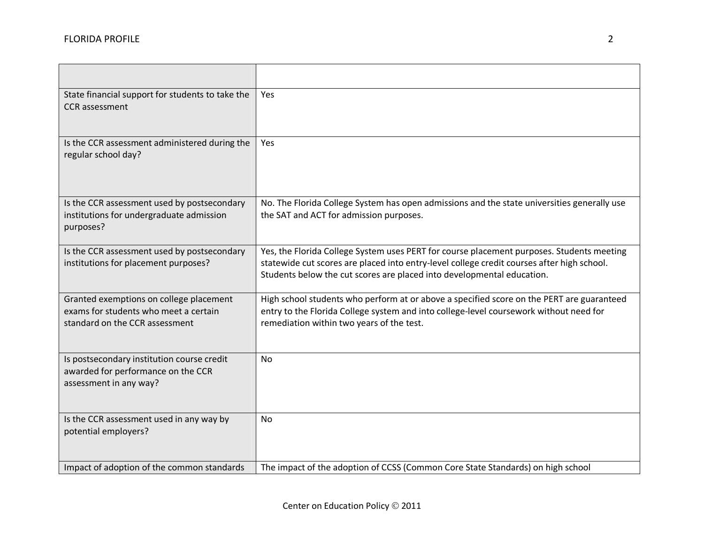| State financial support for students to take the<br><b>CCR</b> assessment                                          | Yes                                                                                                                                                                                                                                                               |
|--------------------------------------------------------------------------------------------------------------------|-------------------------------------------------------------------------------------------------------------------------------------------------------------------------------------------------------------------------------------------------------------------|
| Is the CCR assessment administered during the<br>regular school day?                                               | <b>Yes</b>                                                                                                                                                                                                                                                        |
| Is the CCR assessment used by postsecondary<br>institutions for undergraduate admission<br>purposes?               | No. The Florida College System has open admissions and the state universities generally use<br>the SAT and ACT for admission purposes.                                                                                                                            |
| Is the CCR assessment used by postsecondary<br>institutions for placement purposes?                                | Yes, the Florida College System uses PERT for course placement purposes. Students meeting<br>statewide cut scores are placed into entry-level college credit courses after high school.<br>Students below the cut scores are placed into developmental education. |
| Granted exemptions on college placement<br>exams for students who meet a certain<br>standard on the CCR assessment | High school students who perform at or above a specified score on the PERT are guaranteed<br>entry to the Florida College system and into college-level coursework without need for<br>remediation within two years of the test.                                  |
| Is postsecondary institution course credit<br>awarded for performance on the CCR<br>assessment in any way?         | <b>No</b>                                                                                                                                                                                                                                                         |
| Is the CCR assessment used in any way by<br>potential employers?                                                   | <b>No</b>                                                                                                                                                                                                                                                         |
| Impact of adoption of the common standards                                                                         | The impact of the adoption of CCSS (Common Core State Standards) on high school                                                                                                                                                                                   |